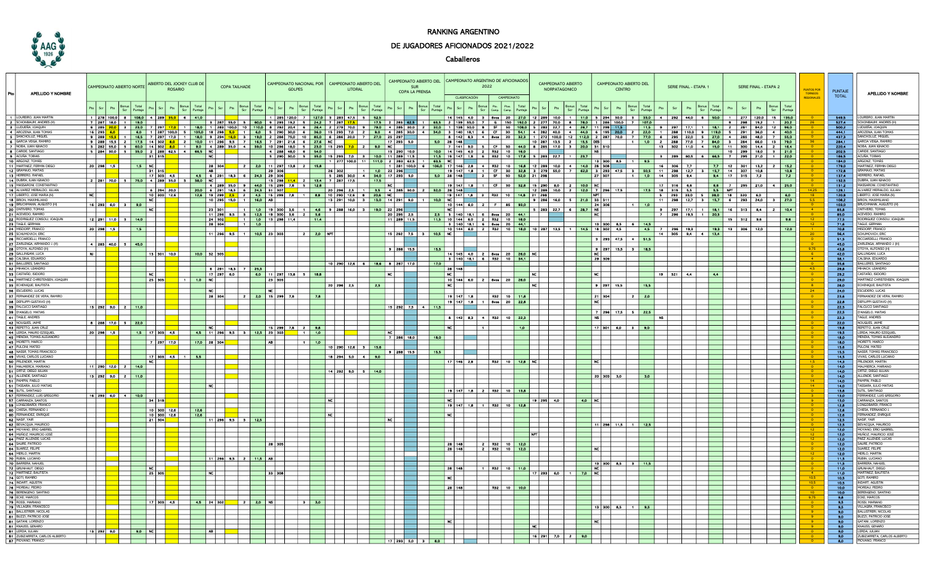

## RANKING ARGENTINO

## DE JUGADORES AFICIONADOS 2021/2022

## Caballeros

| <b>APELLIDO Y NOMBRE</b>                                        |                                                      | CAMPEONATO ABIERTO NORTE |                            |     |                    |                        | ABIERTO DEL JOCKEY CLUB DE<br><b>ROSARIO</b>               |          |                | <b>COPA TAILHADE</b> |                                 |                                                                                                                                                                                                                                   | <b>GOLPES</b>            |                   |                                                                                     | CAMPEONATO NACIONAL POR   CAMPEONATO ABIERTO DEL<br><b>LITORAL</b> |         |                                         | CAMPEONATO ABIERTO DEL CAMPEONATO ARGENTINO DE AFICIONADOS<br><b>SUR</b><br>COPA LA PRENSA |                  |                | <b>CLASIFICACIÓN</b> | 2022<br>CAMPEONATO                   |                  | CAMPEONATO ARIERTO<br><b>NORPATAGONICO</b>                                                                                                                                                                                          | CAMPEONATO ABIERTO DEL<br><b>CENTRO</b> |                          |                           | SERIE FINAL - ETAPA 1    |                                                                                                                                                                                                                                                         | SERIE FINAL - ETAPA 2 |                              |                          | <b>UNTOS POR</b><br><b>EGIONALE</b> | <b>PUNTAIE</b><br><b>TOTAL</b> |                   | <b>APELLIDO Y NOMBRE</b>                                |  |
|-----------------------------------------------------------------|------------------------------------------------------|--------------------------|----------------------------|-----|--------------------|------------------------|------------------------------------------------------------|----------|----------------|----------------------|---------------------------------|-----------------------------------------------------------------------------------------------------------------------------------------------------------------------------------------------------------------------------------|--------------------------|-------------------|-------------------------------------------------------------------------------------|--------------------------------------------------------------------|---------|-----------------------------------------|--------------------------------------------------------------------------------------------|------------------|----------------|----------------------|--------------------------------------|------------------|-------------------------------------------------------------------------------------------------------------------------------------------------------------------------------------------------------------------------------------|-----------------------------------------|--------------------------|---------------------------|--------------------------|---------------------------------------------------------------------------------------------------------------------------------------------------------------------------------------------------------------------------------------------------------|-----------------------|------------------------------|--------------------------|-------------------------------------|--------------------------------|-------------------|---------------------------------------------------------|--|
|                                                                 |                                                      |                          |                            | Scr | Puntaje            |                        | Scr                                                        | Puntaje  |                |                      | Scr<br>Puntaje                  |                                                                                                                                                                                                                                   |                          |                   |                                                                                     | Scr                                                                | Puntaje | Pts                                     | Scr                                                                                        | Total<br>Puntaje |                | Pts<br>Scr           | Pto.<br>Camp.<br>Camp.               | Total<br>Puntaje | Pts                                                                                                                                                                                                                                 | Scr                                     |                          |                           |                          | Scr                                                                                                                                                                                                                                                     | Total<br>Puntaj       |                              | Pts<br>Scr               | Total<br>Puntaje                    |                                |                   |                                                         |  |
|                                                                 |                                                      |                          |                            |     |                    |                        |                                                            |          |                |                      |                                 |                                                                                                                                                                                                                                   |                          | Puntaje           |                                                                                     |                                                                    |         |                                         |                                                                                            |                  |                |                      |                                      |                  |                                                                                                                                                                                                                                     |                                         |                          |                           |                          |                                                                                                                                                                                                                                                         |                       |                              |                          | 15 135.0                            |                                |                   |                                                         |  |
| 1 LOUREIRO, JUAN MARTIN<br>2 SCHONBAUM, ANDRES (H)              |                                                      |                          |                            |     |                    |                        | 1 278 100,0 8 108,0 4 289 35,0 6 41,0<br>7 287 18,0 1 19,0 |          |                |                      |                                 |                                                                                                                                                                                                                                   |                          |                   | 1   285   120,0   7   <mark>127,0  </mark> 3   283   47,5   5   <mark>52,5  </mark> |                                                                    |         |                                         |                                                                                            |                  | $ 14 145 $ 4,0 |                      | $3$ $8$ vos                          |                  | 27.0   12   289   10,0   1   <mark>11,0  </mark> 5   294   30,0   3  <br>3 287 55,0 5 60,0 9 293 192 5 242 7 287 175 175 2 283 62,5 1 63,5 2 139 35,0 7 6 150 192,0 2 277 70,0 8 78,0 1 286 100,0 7 1070                            |                                         |                          |                           | 35,0                     | 4 292 440 6                                                                                                                                                                                                                                             |                       | $50,0$ 1 277<br>$9 \mid 298$ | 120,0<br>$19.2$ 1 20.2   |                                     |                                | 549.5<br>$-627.4$ | OUREIRO, JUAN MARTIN<br><b>SCHONBAUM, ANDRES (H)</b>    |  |
| <b>8</b> LUDUEÑA, JOAQUIN                                       |                                                      |                          | 6 285 200 3 23,0 7         |     |                    |                        |                                                            |          |                |                      |                                 |                                                                                                                                                                                                                                   |                          |                   |                                                                                     |                                                                    |         |                                         |                                                                                            |                  |                |                      |                                      |                  |                                                                                                                                                                                                                                     |                                         |                          |                           |                          | 17.1 1 18.1 2 281                                                                                                                                                                                                                                       |                       |                              | $84.0$ 12 96.0           |                                     |                                | 500,2             | LUDUEÑA, JOAQUIN                                        |  |
| 4 AROZENA, JUAN TOMA                                            |                                                      | $16$ 293                 |                            |     |                    |                        | 6,0 1 287 100,0 5 105,0 18 298                             |          |                |                      |                                 |                                                                                                                                                                                                                                   |                          |                   |                                                                                     |                                                                    |         |                                         |                                                                                            |                  |                |                      |                                      |                  |                                                                                                                                                                                                                                     |                                         |                          |                           |                          | 1 180 1 283 1000 10 1100 8 282 204 6 26 <mark>4 2 279 700 9 790 4 285 300 2 320 1 138 500 8 SF 50 1060</mark> 5 283 227 4 267 11 296 115 115 9 297 171 1 181 2 281<br>5 1050 18 298 <mark>50 1 60 5 290 300 6 360</mark> 15 299 70 2 90 4 285 300 4 340 |                       |                              | $36.0$ 4                 |                                     |                                | $-444.1$          | AROZENA, JUAN TOMAS                                     |  |
| <b>5</b> SANCHOLUZ, MIGUEL                                      |                                                      |                          |                            |     |                    |                        |                                                            |          |                |                      |                                 |                                                                                                                                                                                                                                   |                          |                   |                                                                                     |                                                                    |         |                                         |                                                                                            |                  |                |                      |                                      |                  |                                                                                                                                                                                                                                     |                                         |                          |                           |                          |                                                                                                                                                                                                                                                         |                       |                              |                          |                                     |                                | $-437,3$          | SANCHOLUZ, MIGUEL                                       |  |
| 6 GARCIA VEIGA, RAMIRO                                          |                                                      |                          |                            |     |                    |                        |                                                            |          |                |                      |                                 | 16 289 15 5 16 5 17 29 17:0 1 16,0 19 224 160 16 226 750 10 850 16 289 200 7 27:0 25 289 200<br>9 289 15 5 1 16,5 7 29 17:0 1 16,0 1 224 160 3 190 2 248 750 10 850 16 289 200 7 27:0 25 287 300<br>9 289 15,5 2 17.5 14 902 80 1 |                          |                   |                                                                                     |                                                                    |         |                                         |                                                                                            |                  |                |                      |                                      |                  |                                                                                                                                                                                                                                     |                                         |                          |                           |                          |                                                                                                                                                                                                                                                         |                       |                              |                          |                                     |                                | 284.1             | GARCIA VEIGA, RAMIRO                                    |  |
| 7 NOBA, JUAN IGNACIO                                            |                                                      |                          |                            |     |                    |                        |                                                            |          |                |                      |                                 |                                                                                                                                                                                                                                   |                          |                   |                                                                                     |                                                                    |         |                                         |                                                                                            |                  |                |                      |                                      |                  |                                                                                                                                                                                                                                     |                                         |                          |                           |                          |                                                                                                                                                                                                                                                         |                       |                              |                          |                                     |                                | 220.4             | NOBA, JUAN IGNACIO                                      |  |
| <b>8</b> CARIDE, SANTIAGO                                       |                                                      |                          |                            |     |                    |                        |                                                            |          |                |                      |                                 |                                                                                                                                                                                                                                   |                          |                   |                                                                                     |                                                                    |         |                                         |                                                                                            |                  |                |                      |                                      |                  |                                                                                                                                                                                                                                     |                                         |                          |                           |                          |                                                                                                                                                                                                                                                         |                       |                              |                          |                                     |                                | 202.5             | CARIDE SANTIAGO                                         |  |
| <b>9</b> ACUÑA, TOBIAS                                          |                                                      |                          |                            |     |                    |                        |                                                            |          |                |                      |                                 |                                                                                                                                                                                                                                   |                          |                   |                                                                                     |                                                                    |         |                                         |                                                                                            |                  |                |                      |                                      |                  | 11,5 19 147 1,8 6 R32 10 17,8 5 283 22,7 1 23,7<br>63,5 NC                                                                                                                                                                          |                                         |                          |                           |                          | 3 289 60,5 6 66,5 7 295 21,0 1 <mark>22,0</mark>                                                                                                                                                                                                        |                       |                              |                          |                                     |                                | 186.5             | ACUÑA TOBIAS                                            |  |
| 10 ARGONZ, TOMÁS                                                |                                                      |                          |                            |     |                    |                        |                                                            |          |                |                      |                                 |                                                                                                                                                                                                                                   |                          |                   |                                                                                     |                                                                    |         |                                         |                                                                                            |                  |                |                      |                                      |                  |                                                                                                                                                                                                                                     |                                         |                          |                           | 13   300   8,5   1   9,5 |                                                                                                                                                                                                                                                         |                       |                              |                          |                                     |                                | 184.0             | ARGONZ, TOMÁS                                           |  |
| 11 MARTINEZ, FERMIN DIEGO                                       |                                                      |                          | $20 \mid 298 \mid 15 \mid$ |     | $ $ 1,5 $ $ NC $ $ |                        |                                                            |          | 28 304         |                      |                                 | <b>2</b> 2,0 11 297 13,8 2 15,8                                                                                                                                                                                                   |                          |                   |                                                                                     |                                                                    |         |                                         |                                                                                            |                  |                |                      |                                      |                  |                                                                                                                                                                                                                                     |                                         |                          |                           |                          | 0 17 146 2,8 4 R32 10 16,8 12 289 10,0 4 14,0 28 308 1 1 16 306 7,7 7 7,7 12 301 13,2<br>19 147 1,8 1 CF 30 32,8 3 279 55,0 7 62,0 3 233 47,5 3 50,5 11 298 12,7 3 15,7 14 307 10,8                                                                     |                       |                              | $7.7$ 12 301 13.2 2 15.2 |                                     |                                | 179.0             | MARTINEZ, FERMIN DIEGO                                  |  |
| 12 GRAMAJO, MATIAS                                              |                                                      |                          |                            |     |                    | 31 315                 |                                                            |          |                |                      |                                 | 4,5 6 291 18,3 6 24,3 29 306<br> 29 306                                                                                                                                                                                           |                          |                   |                                                                                     |                                                                    |         |                                         |                                                                                            |                  |                |                      |                                      |                  |                                                                                                                                                                                                                                     |                                         |                          |                           |                          |                                                                                                                                                                                                                                                         |                       |                              |                          | 10.8                                |                                | 172,8             | GRAMAJO, MATIAS                                         |  |
| 13 HERRERO, RAFAEL                                              |                                                      |                          |                            |     |                    |                        | 17 303 4,5                                                 |          |                |                      |                                 | <u>2 281 700 5 750 4 289 360 K 10 10 1298 114 ≤ 130 1</u><br>4 289 350 4 289 360 128 129 360 128 128 128 20 2                                                                                                                     |                          |                   |                                                                                     |                                                                    |         | 5 285 30,0 4 34,0 17 293 5.0            |                                                                                            |                  |                |                      | 5,0 28 148 2 SF 50 52,0 21 298       |                  |                                                                                                                                                                                                                                     |                                         | 27 307                   |                           |                          | $11$ 1,0 14 305 9.4                                                                                                                                                                                                                                     |                       |                              |                          | $\sqrt{7.2}$                        |                                | $-137.4$          | HERRERO, RAFAEL                                         |  |
| 14 DUBRA, JUAN IGNACIO                                          |                                                      |                          |                            |     |                    |                        |                                                            |          |                |                      |                                 | 13 298 11.4 2 13.4 7 287 17.5 17.5 17.5 17.5 17.5 17.5                                                                                                                                                                            |                          |                   |                                                                                     |                                                                    |         |                                         |                                                                                            |                  |                |                      |                                      |                  |                                                                                                                                                                                                                                     |                                         |                          |                           |                          |                                                                                                                                                                                                                                                         |                       |                              | $21,0$ 4 $25,0$          |                                     |                                | 132,5             | DUBRA, JUAN IGNACIO<br><b>MASSARONI, CONSTANTI</b>      |  |
| <b>15 MASSARONI, CONSTANTING</b><br>16 ALVAREZ MERIALDO, JULIAN |                                                      |                          |                            |     |                    | $6$   294   20.0       |                                                            |          |                |                      |                                 |                                                                                                                                                                                                                                   |                          |                   |                                                                                     |                                                                    |         |                                         |                                                                                            |                  |                |                      |                                      |                  |                                                                                                                                                                                                                                     |                                         |                          |                           |                          | $316$ 6.6                                                                                                                                                                                                                                               | $\frac{6,6}{ }$ 7     | 295                          |                          |                                     |                                | $-131,2$<br>129.1 | ALVAREZ MERIALDO, JULIAN                                |  |
| 17 LIBERTO, JOSE MARIA (N)                                      | $\overline{\phantom{1}}$ NC $\overline{\phantom{1}}$ |                          |                            |     |                    |                        | 10 300 12,6                                                |          |                |                      |                                 |                                                                                                                                                                                                                                   |                          |                   |                                                                                     |                                                                    |         |                                         |                                                                                            |                  |                |                      |                                      |                  | 1990 14 289 380 9 440 15 239 70 5 120 1 20 12 12 12 12 12 12 12 13 140 140 15 12 13 140 15 290 80 2 100 10 12<br>2000 6 291 163 6 243 91 907 2 140 20 20 20 20 20 20 20 20 20 20 20 20 140 16 12 12 12 12 12 12 12 13 140 140 1<br> |                                         |                          |                           |                          | 17,5 18 319 5,5 5,5 NPT                                                                                                                                                                                                                                 |                       |                              | $\overline{50}$          | 60                                  |                                | 120.8             | LIBERTO, JOSE MARIA (N)                                 |  |
| <b>18 BRION, MAXIMILIANO</b>                                    |                                                      |                          |                            |     |                    | NC                     |                                                            |          |                |                      | 10   295   15,0   1   16,0   AB |                                                                                                                                                                                                                                   |                          |                   |                                                                                     |                                                                    |         |                                         |                                                                                            |                  |                |                      |                                      |                  |                                                                                                                                                                                                                                     |                                         |                          |                           |                          | 11   298   12,7   8   15,7   6   293   24,0   8   27,0                                                                                                                                                                                                  |                       |                              |                          |                                     |                                | 108.2             | <b>BRION, MAXIMILIANO</b>                               |  |
| 19 BRUCHMANN, AUGUSTO                                           |                                                      |                          | $16$ 293 60 $3$            |     | 9,0                |                        |                                                            |          |                |                      |                                 |                                                                                                                                                                                                                                   |                          |                   |                                                                                     |                                                                    |         | 13 291 10,0 3 19,0 14 291 9,0 1 10,0 NC |                                                                                            |                  |                |                      |                                      |                  | 0 NC 144 6,0 2 F 85 99,0 9 286 16,0 5 21,0 33 311                                                                                                                                                                                   |                                         |                          |                           |                          |                                                                                                                                                                                                                                                         |                       |                              |                          |                                     |                                | 108.0             | <b>BRUCHMANN, AUGUSTO (I)</b>                           |  |
| 20 ONTIVERO, TOMAS                                              |                                                      |                          |                            |     |                    |                        |                                                            |          |                |                      |                                 | 23 301 1 10 19 300 3,6 1 4,6 9 288 160 3 190 22 296                                                                                                                                                                               |                          |                   |                                                                                     |                                                                    |         |                                         |                                                                                            |                  |                |                      |                                      |                  | NC           5 283 22,7 6 28,7 NS                                                                                                                                                                                                   |                                         |                          |                           |                          | 9 297 17,1 1 18,1 16 313                                                                                                                                                                                                                                |                       |                              | $8.4$ $2$ $10.4$         |                                     |                                | <b>ARA</b>        | ONTIVERO TOMAS                                          |  |
| 21 ACEVEDO, RAMIRO                                              |                                                      |                          |                            |     |                    |                        |                                                            |          |                |                      |                                 | 11    296    9,5    8    <mark>12,5    19    300    3,6    2    5,6    5,6    1</mark>                                                                                                                                            |                          |                   |                                                                                     |                                                                    |         | 20 295 25                               |                                                                                            |                  |                |                      | <b>2,5</b> 3 140 18,1 6 8vos 20 44,1 |                  |                                                                                                                                                                                                                                     |                                         |                          |                           |                          | <b>7</b> 296 19,3 1 20,3                                                                                                                                                                                                                                |                       |                              |                          |                                     |                                | 85.0              | ACEVEDO, RAMIRO                                         |  |
| 22 RODRIGUEZ CONSOLI, JOAQUIN                                   |                                                      |                          | 12 291 11.0 3 14,0         |     |                    |                        |                                                            |          |                |                      |                                 | <b>1</b> 1 1,0 13 298 11,4                                                                                                                                                                                                        |                          | $\sim$ 1.4 $\sim$ |                                                                                     |                                                                    |         | 11 289 11,5                             |                                                                                            |                  |                |                      | 11,5 10 144 6,0 2 R32 10 18,0        |                  |                                                                                                                                                                                                                                     |                                         |                          |                           |                          |                                                                                                                                                                                                                                                         |                       | $15$   $312$                 | 9,6                      |                                     |                                | 77,5              | RODRIGUEZ CONSOLI, JOAQUIN                              |  |
| 28 TAGLE, GERMAN                                                |                                                      |                          |                            |     |                    |                        |                                                            |          | 28 304         |                      | $\vert$ 1,0 $\vert$             |                                                                                                                                                                                                                                   |                          |                   |                                                                                     |                                                                    |         |                                         |                                                                                            |                  |                |                      | 3 140 18,1 6 8vos 20 44,1            |                  |                                                                                                                                                                                                                                     |                                         |                          | 13 300 8,5 6 14,5         |                          |                                                                                                                                                                                                                                                         |                       |                              |                          |                                     |                                | 71,6              | TAGLE, GERMAN                                           |  |
| 24 MISDORP, FRANCO                                              |                                                      |                          | $20 \mid 298 \mid 1,5$     |     | 1,5                |                        |                                                            |          |                |                      |                                 | 11 296 9,5 1 10,5 23 303                                                                                                                                                                                                          |                          |                   |                                                                                     |                                                                    |         |                                         |                                                                                            |                  |                |                      |                                      |                  |                                                                                                                                                                                                                                     |                                         |                          |                           |                          | 10 144 6.0 2 R92 10 18.0 10 287 13.5 1 14.5 18 302 4.5 4.5 7 296 19.3 19.3 19 306                                                                                                                                                                       |                       |                              | 12,0                     | 12,0                                |                                | 70.8              | MISDORP, FRANCO                                         |  |
| 25 SCHUMOVICH, ERIC                                             |                                                      |                          |                            |     |                    |                        |                                                            |          |                |                      |                                 |                                                                                                                                                                                                                                   |                          | $2 \times 20$     |                                                                                     |                                                                    |         | 15 292 7,5 3 105 NC                     |                                                                                            |                  |                |                      |                                      |                  |                                                                                                                                                                                                                                     |                                         |                          |                           |                          | $14$ 305 9,4 4 13,4                                                                                                                                                                                                                                     |                       |                              |                          |                                     |                                | $-56,4$           | SCHUMOVICH, ERIC                                        |  |
| 26 RICCIARDELLI, FRANCO                                         |                                                      |                          |                            |     |                    |                        |                                                            |          |                |                      |                                 |                                                                                                                                                                                                                                   |                          |                   |                                                                                     |                                                                    |         | and the control                         |                                                                                            |                  |                |                      |                                      |                  |                                                                                                                                                                                                                                     |                                         |                          |                           | $3$ 293 47,5 4 51,5      |                                                                                                                                                                                                                                                         |                       |                              |                          |                                     |                                | $-51.5$<br>$-450$ | RICCIARDELLI, FRANCO<br><b>ZARI FNGA, ARMANDO J. (H</b> |  |
| 27 ZARLENGA, ARMANDO J. (H)<br>28 OTOYA, ALFONSO (H)            |                                                      |                          | $4$ 283 400 5 450          |     |                    |                        |                                                            |          |                |                      |                                 |                                                                                                                                                                                                                                   |                          |                   |                                                                                     |                                                                    |         | $9$ 288 15.5                            |                                                                                            | 15.5             |                |                      |                                      |                  |                                                                                                                                                                                                                                     |                                         |                          |                           | 18,5                     |                                                                                                                                                                                                                                                         |                       |                              |                          |                                     |                                | 43,8              | OTOYA, ALFONSO (H)                                      |  |
| 29 GALLINGANI, LUCA                                             | $\overline{N}$                                       |                          |                            |     |                    |                        | 13 301 100                                                 |          | 10.0 32 305    |                      |                                 |                                                                                                                                                                                                                                   |                          |                   |                                                                                     |                                                                    |         |                                         |                                                                                            |                  |                |                      | 14 145 4.0 2 8vos 20 26.0 NC         |                  |                                                                                                                                                                                                                                     |                                         | NC                       | $9$ 297 15,5 3            |                          |                                                                                                                                                                                                                                                         |                       |                              |                          |                                     |                                | $-42,0$           | GALLINGANI, LUCA                                        |  |
| <b>30</b> CALSINA, EDUARDO                                      |                                                      |                          |                            |     |                    |                        |                                                            |          |                |                      |                                 |                                                                                                                                                                                                                                   |                          |                   |                                                                                     |                                                                    |         |                                         |                                                                                            |                  |                |                      | 3 140 18,1 6 R32 10 34,1             |                  |                                                                                                                                                                                                                                     |                                         | 29   309                 |                           |                          |                                                                                                                                                                                                                                                         |                       |                              |                          |                                     |                                | 38,1              | CALSINA, EDUARDO                                        |  |
| 81 BAILLERES, SANTIAGO                                          |                                                      |                          |                            |     |                    |                        |                                                            |          |                |                      |                                 |                                                                                                                                                                                                                                   |                          |                   |                                                                                     |                                                                    |         | $10$ 290 12,6 6 18,6 8 287 17,0         |                                                                                            | 17.0             |                |                      |                                      |                  |                                                                                                                                                                                                                                     |                                         |                          |                           |                          |                                                                                                                                                                                                                                                         |                       |                              |                          |                                     |                                | 35.0              | <b>BAILLERES, SANTIAG</b>                               |  |
| <b>32 MIHAICH, LEANDRO</b>                                      |                                                      |                          |                            |     |                    |                        |                                                            |          |                |                      | 6 291 183 7 253                 |                                                                                                                                                                                                                                   |                          |                   |                                                                                     |                                                                    |         |                                         |                                                                                            |                  | 28 148         |                      |                                      |                  |                                                                                                                                                                                                                                     |                                         |                          |                           |                          |                                                                                                                                                                                                                                                         |                       |                              |                          |                                     | 4.5                            | 29.8              | MIHAICH, LEANDRO                                        |  |
| <b>33 CASTAÑO, ISIDORO</b>                                      |                                                      |                          |                            |     |                    | NC I                   |                                                            |          |                | $17$ 297 6,0         |                                 | 6.0 11 297 13,8 5 18,8                                                                                                                                                                                                            |                          |                   |                                                                                     |                                                                    |         | NC I                                    |                                                                                            |                  | l nc l         |                      |                                      |                  | NC.                                                                                                                                                                                                                                 |                                         | NC I                     |                           |                          | $19$   $321$  <br>44                                                                                                                                                                                                                                    | 4.4                   |                              |                          |                                     |                                | 29,2              | CASTAÑO, ISIDORO                                        |  |
| <b>34 MARTINEZ CHRISTENSEN, JOAQUIN</b>                         |                                                      |                          |                            |     |                    | 25   305               |                                                            | 1 1.0 NC |                |                      |                                 | <u>I 28 I 308 I</u>                                                                                                                                                                                                               |                          |                   |                                                                                     |                                                                    |         |                                         |                                                                                            |                  |                |                      | 10 144 60 2 8vos 20 280 1            |                  |                                                                                                                                                                                                                                     |                                         |                          |                           |                          |                                                                                                                                                                                                                                                         |                       |                              |                          |                                     |                                | 29.0              | MARTINEZ CHRISTENSEN. JOAQUIN                           |  |
| 85 ECHENIQUE, BAUTISTA                                          |                                                      |                          |                            |     |                    |                        |                                                            |          |                |                      |                                 |                                                                                                                                                                                                                                   |                          |                   | 20   296   2,5                                                                      |                                                                    | 2.5     |                                         |                                                                                            |                  | INCI           |                      |                                      |                  | i nci                                                                                                                                                                                                                               |                                         |                          | 9   297   15,5            | 15.5                     |                                                                                                                                                                                                                                                         |                       |                              |                          |                                     |                                | 26.0              | ECHENIQUE, BAUTISTA                                     |  |
| <b>36 ESCUDERO, LUCAS</b>                                       |                                                      |                          |                            |     |                    |                        |                                                            |          | NC I           |                      |                                 | INC I                                                                                                                                                                                                                             |                          |                   |                                                                                     |                                                                    |         |                                         |                                                                                            |                  |                |                      |                                      |                  |                                                                                                                                                                                                                                     |                                         |                          |                           |                          |                                                                                                                                                                                                                                                         |                       |                              |                          |                                     | 24                             | 24.0              | ESCUDERO, LUCAS                                         |  |
| 87 FERNANDEZ DE VERA, RAMIRO                                    |                                                      |                          |                            |     |                    |                        |                                                            |          | 28 304         |                      | $\mathbf{z}$                    | $2,0$ 15 299 7.8                                                                                                                                                                                                                  |                          |                   |                                                                                     |                                                                    |         |                                         |                                                                                            |                  | $19$ 147 1,8   |                      | R92 10 11,8                          |                  |                                                                                                                                                                                                                                     |                                         | $\sqrt{21}$   804        |                           | 2 20                     |                                                                                                                                                                                                                                                         |                       |                              |                          |                                     |                                | 23,6              | FERNANDEZ DE VERA, RAMIRI                               |  |
| <b>38</b> DEFILIPPI GUSTAVO (H)                                 |                                                      |                          |                            |     |                    |                        |                                                            |          |                |                      |                                 |                                                                                                                                                                                                                                   |                          | 7,8               |                                                                                     |                                                                    |         |                                         |                                                                                            |                  |                |                      | 19 147 1,8 1 8vos 20 22,8            |                  |                                                                                                                                                                                                                                     |                                         | $\overline{\phantom{a}}$ |                           |                          |                                                                                                                                                                                                                                                         |                       |                              |                          |                                     |                                | 22.8              | DEEILIPPLGUSTAVO (H)                                    |  |
| <b>89 FALCUCCI SANTIAGO</b>                                     |                                                      |                          |                            |     |                    |                        |                                                            |          |                |                      |                                 |                                                                                                                                                                                                                                   |                          |                   |                                                                                     |                                                                    |         |                                         |                                                                                            |                  |                |                      |                                      |                  |                                                                                                                                                                                                                                     |                                         |                          |                           |                          |                                                                                                                                                                                                                                                         |                       |                              |                          |                                     |                                | 22,5              | <b>FALCUCCLSANTIAGO</b>                                 |  |
| 39 D'ANGELO, MATIAS                                             |                                                      |                          | 13 292 90 2 11,0           |     |                    |                        |                                                            |          |                |                      |                                 |                                                                                                                                                                                                                                   |                          |                   |                                                                                     |                                                                    |         | $15$ 292 7.5 4 11,5 1                   |                                                                                            |                  |                |                      |                                      |                  |                                                                                                                                                                                                                                     |                                         |                          | 7 296 17.5 5 22.5         |                          |                                                                                                                                                                                                                                                         |                       |                              |                          |                                     |                                | 22,5              | YANGELO, MATIAS                                         |  |
| 41 TAGLE, ANDRES                                                |                                                      |                          |                            |     |                    |                        |                                                            |          |                |                      |                                 |                                                                                                                                                                                                                                   |                          |                   |                                                                                     |                                                                    |         |                                         |                                                                                            |                  |                |                      | 8 142 8.3 4 R32 10 22.3              |                  |                                                                                                                                                                                                                                     |                                         | INSI                     |                           |                          | <b>NS</b>                                                                                                                                                                                                                                               |                       |                              |                          |                                     |                                | 22.3              | TAGLE ANDRES                                            |  |
| 42 NOUGUES, JAIME                                               |                                                      |                          | 8 288 170 5 22,0           |     |                    |                        |                                                            |          |                |                      |                                 |                                                                                                                                                                                                                                   |                          |                   |                                                                                     |                                                                    |         |                                         |                                                                                            |                  |                |                      |                                      |                  |                                                                                                                                                                                                                                     |                                         |                          |                           |                          |                                                                                                                                                                                                                                                         |                       |                              |                          |                                     |                                | 22.0              | NOUGUES, JAIME                                          |  |
| 48 REPETTO, JUAN CRU                                            |                                                      |                          |                            |     |                    |                        |                                                            |          |                |                      |                                 |                                                                                                                                                                                                                                   | 15 299 7.8 2 9,8         |                   |                                                                                     |                                                                    |         |                                         |                                                                                            |                  |                |                      |                                      | 1.0 <sub>1</sub> |                                                                                                                                                                                                                                     |                                         |                          | $17$ 301 6,0 8            | 9.0                      |                                                                                                                                                                                                                                                         |                       |                              |                          |                                     |                                | $-19,8$           | REPETTO, JUAN CRUZ                                      |  |
| 44 LERDA, MAURO EZEQUIEL                                        |                                                      |                          | $20$ 298 1.5               |     |                    | $1.5$   17   303   4.5 |                                                            |          |                |                      |                                 | 4,5 11 296 9,5 3 12,5 23 303                                                                                                                                                                                                      |                          |                   |                                                                                     |                                                                    |         |                                         |                                                                                            |                  |                |                      |                                      |                  |                                                                                                                                                                                                                                     |                                         |                          |                           |                          |                                                                                                                                                                                                                                                         |                       |                              |                          |                                     |                                | 19.5              | LERDA, MAURO EZEQUIE                                    |  |
| 45 MENDIA, TOMAS ALEJANDRO                                      |                                                      |                          |                            |     |                    |                        |                                                            |          |                |                      |                                 |                                                                                                                                                                                                                                   |                          |                   |                                                                                     |                                                                    |         | 7 286 180                               |                                                                                            | 18.0             |                |                      |                                      |                  |                                                                                                                                                                                                                                     |                                         |                          |                           |                          |                                                                                                                                                                                                                                                         |                       |                              |                          |                                     |                                | 18.0              | MENDIA, TOMAS ALEJANDR                                  |  |
| 45 MORETTI, MARCO                                               |                                                      |                          |                            |     |                    | $7$ 297                | 17.0                                                       |          | $17.0$ 28 304  |                      |                                 | $\overline{AB}$                                                                                                                                                                                                                   |                          | 11110             |                                                                                     |                                                                    |         |                                         |                                                                                            |                  |                |                      |                                      |                  |                                                                                                                                                                                                                                     |                                         |                          |                           |                          |                                                                                                                                                                                                                                                         |                       |                              |                          |                                     |                                | 18.0              | MORETTI, MARCO                                          |  |
| 47 PULCINI, MATEO                                               |                                                      |                          |                            |     |                    |                        |                                                            |          |                |                      |                                 |                                                                                                                                                                                                                                   |                          |                   | 10 290 12,6 3 15,6                                                                  |                                                                    |         |                                         |                                                                                            |                  |                |                      |                                      |                  |                                                                                                                                                                                                                                     |                                         |                          |                           |                          |                                                                                                                                                                                                                                                         |                       |                              |                          |                                     |                                | $-15.6$           | PUI CINI, MATEO                                         |  |
| 48 INASSR. TOMÁS FRANCISCO                                      |                                                      |                          |                            |     |                    |                        |                                                            |          |                |                      |                                 |                                                                                                                                                                                                                                   |                          |                   |                                                                                     | 18 294 5,0 4 9,0                                                   |         | 9 288 15.5                              |                                                                                            | <b>THE R</b>     |                |                      |                                      |                  |                                                                                                                                                                                                                                     |                                         |                          |                           |                          |                                                                                                                                                                                                                                                         |                       |                              |                          |                                     |                                | $-18.8 - 1$       | NASSR TOMÁS FRANCISCO                                   |  |
| 49 VIVAS, CARLOS LUCIANO                                        |                                                      |                          |                            |     |                    |                        | 17 303 4.5 1 5.5                                           |          |                |                      |                                 |                                                                                                                                                                                                                                   |                          |                   |                                                                                     |                                                                    |         |                                         |                                                                                            |                  |                |                      |                                      |                  |                                                                                                                                                                                                                                     |                                         |                          |                           |                          |                                                                                                                                                                                                                                                         |                       |                              |                          |                                     |                                | $-14.5$           | VIVAS CARLOS LUCIANO                                    |  |
| <b>50 PRLENDER, MARTIN</b>                                      |                                                      |                          |                            |     |                    | <b>NC</b>              |                                                            |          |                |                      |                                 |                                                                                                                                                                                                                                   |                          |                   |                                                                                     |                                                                    |         |                                         |                                                                                            |                  | 17 146 2.8     |                      | R32                                  | $10$ 12.8 NC     |                                                                                                                                                                                                                                     |                                         |                          |                           |                          |                                                                                                                                                                                                                                                         |                       |                              |                          |                                     |                                | 14,3              | <b>PRLENDER, MARTIN</b>                                 |  |
| 51 MALMIERCA, MARIANO                                           |                                                      |                          | 11 290 12,0 2 14,0         |     |                    |                        |                                                            |          |                |                      |                                 |                                                                                                                                                                                                                                   |                          |                   |                                                                                     |                                                                    |         |                                         |                                                                                            |                  |                |                      |                                      |                  |                                                                                                                                                                                                                                     |                                         |                          |                           |                          |                                                                                                                                                                                                                                                         |                       |                              |                          |                                     |                                | $-14,0$           | MALMIERCA, MARIANO                                      |  |
| 51 ORTIZ, DIEGO JULIAN                                          |                                                      |                          |                            |     |                    |                        |                                                            |          |                |                      |                                 |                                                                                                                                                                                                                                   |                          |                   |                                                                                     | $14$ 292 9,0 5 14,0                                                |         |                                         |                                                                                            |                  |                |                      |                                      |                  |                                                                                                                                                                                                                                     |                                         |                          |                           |                          |                                                                                                                                                                                                                                                         |                       |                              |                          |                                     |                                | 14,0              | ORTIZ, DIEGO JULIAN                                     |  |
| 51 ALLENDE, SANTIAGO<br><b>51 PAMPIN, PABLO</b>                 |                                                      |                          | $13$ 292 9,0 2 11,0        |     |                    |                        |                                                            |          |                |                      |                                 |                                                                                                                                                                                                                                   |                          |                   |                                                                                     |                                                                    |         |                                         |                                                                                            |                  |                |                      |                                      |                  |                                                                                                                                                                                                                                     |                                         |                          | $20 \ 303 \ 3,0$          | 3.0                      |                                                                                                                                                                                                                                                         |                       |                              |                          |                                     |                                | 14.0<br>14,0      | ALLENDE, SANTIAGO<br>AMPIN, PABLO                       |  |
| 51 TASSARA, JULIO MATIA:                                        |                                                      |                          |                            |     |                    |                        |                                                            |          | $\overline{R}$ |                      |                                 |                                                                                                                                                                                                                                   |                          |                   |                                                                                     |                                                                    |         |                                         |                                                                                            |                  |                |                      |                                      |                  |                                                                                                                                                                                                                                     |                                         |                          |                           |                          |                                                                                                                                                                                                                                                         |                       |                              |                          |                                     |                                | 14.0              | TASSARA, JULIO MATIA                                    |  |
| <b>56 SUTIL, SANTIAGO</b>                                       |                                                      |                          |                            |     |                    |                        |                                                            |          |                |                      |                                 |                                                                                                                                                                                                                                   |                          |                   |                                                                                     |                                                                    |         |                                         |                                                                                            |                  |                |                      | 19 147 1.8 2 R32 10 13.8             |                  |                                                                                                                                                                                                                                     |                                         |                          |                           |                          |                                                                                                                                                                                                                                                         |                       |                              |                          |                                     |                                | $-13.8$           | SUTIL, SANTIAGO                                         |  |
| 57 FERRANDEZ, LUIS GREGORIO                                     |                                                      |                          | $16$ 293 6.0 4 10,0        |     |                    |                        |                                                            |          |                |                      |                                 |                                                                                                                                                                                                                                   |                          |                   |                                                                                     |                                                                    |         |                                         |                                                                                            |                  |                |                      |                                      |                  |                                                                                                                                                                                                                                     |                                         |                          |                           |                          |                                                                                                                                                                                                                                                         |                       |                              |                          |                                     |                                | 13.0              | FERRANDEZ, LUIS GREGORI                                 |  |
| <b>57 CARRANZA, SANTOS</b>                                      |                                                      |                          |                            |     |                    | $34 \mid 318$          |                                                            |          |                |                      |                                 |                                                                                                                                                                                                                                   |                          |                   | <b>NC</b>                                                                           |                                                                    |         |                                         |                                                                                            |                  |                |                      |                                      |                  | 19 295 4.0                                                                                                                                                                                                                          | 4.0 NO                                  |                          |                           |                          |                                                                                                                                                                                                                                                         |                       |                              |                          |                                     |                                | $-13.0$           | CARRANZA SANTOS                                         |  |
| <b>59 LONGOBARDI, FRANCO</b>                                    |                                                      |                          |                            |     |                    |                        |                                                            |          |                |                      |                                 |                                                                                                                                                                                                                                   |                          |                   |                                                                                     |                                                                    |         |                                         |                                                                                            |                  |                |                      | 19 147 18 1 R32 10                   | 12.8             |                                                                                                                                                                                                                                     |                                         |                          |                           |                          |                                                                                                                                                                                                                                                         |                       |                              |                          |                                     |                                | 12,8              | LONGOBARDI, FRANCO                                      |  |
| <b>60 CHIESA FERNANDO L</b>                                     |                                                      |                          |                            |     |                    |                        | 10   300   12.6                                            | 12.6     |                |                      |                                 |                                                                                                                                                                                                                                   |                          |                   |                                                                                     |                                                                    |         |                                         |                                                                                            |                  |                |                      |                                      |                  |                                                                                                                                                                                                                                     |                                         |                          |                           |                          |                                                                                                                                                                                                                                                         |                       |                              |                          |                                     |                                | 12.6              | CHIESA FERNANDO I                                       |  |
| 60 FERNANDEZ, ENRIQUE                                           |                                                      |                          |                            |     |                    |                        | 10 300 12,6                                                | 12.6     |                |                      |                                 |                                                                                                                                                                                                                                   |                          |                   |                                                                                     |                                                                    |         |                                         |                                                                                            |                  |                |                      |                                      |                  |                                                                                                                                                                                                                                     |                                         |                          |                           |                          |                                                                                                                                                                                                                                                         |                       |                              |                          |                                     |                                | 12,6              | FERNANDEZ, ENRIQUE                                      |  |
| 62 NASIF, YAIR                                                  |                                                      |                          |                            |     |                    | 21 304                 |                                                            |          |                |                      | $11$ 296 9,5 3 12,5             |                                                                                                                                                                                                                                   |                          |                   |                                                                                     |                                                                    |         |                                         |                                                                                            |                  |                |                      |                                      |                  |                                                                                                                                                                                                                                     |                                         |                          |                           |                          |                                                                                                                                                                                                                                                         |                       |                              |                          |                                     |                                | 12,5              | NASIF, YAIR                                             |  |
| 62 BEVACQUA, MAURICIO<br>64 MOYANO, ERIO GABRIE                 |                                                      |                          |                            |     |                    |                        |                                                            |          |                |                      |                                 |                                                                                                                                                                                                                                   |                          |                   |                                                                                     |                                                                    |         |                                         |                                                                                            |                  |                |                      |                                      |                  |                                                                                                                                                                                                                                     |                                         |                          | $11$ 298 11,5 1           | 12.5                     |                                                                                                                                                                                                                                                         |                       |                              |                          |                                     |                                | 12,5              | BEVACQUA, MAURICIC<br>MOYANO, ERIO GABRIEI              |  |
| 64 MUÑOZ, MAURICIO JOSÉ                                         |                                                      |                          |                            |     |                    |                        |                                                            |          |                |                      |                                 |                                                                                                                                                                                                                                   |                          |                   |                                                                                     |                                                                    |         |                                         |                                                                                            |                  |                |                      |                                      |                  | NPT                                                                                                                                                                                                                                 |                                         |                          |                           |                          |                                                                                                                                                                                                                                                         |                       |                              |                          |                                     |                                | 12,0<br>12.0      | MUÑOZ, MAURICIO JOSÉ                                    |  |
| 64 PAEZ ALLENDE, LUCAS                                          |                                                      |                          |                            |     |                    |                        |                                                            |          |                |                      |                                 |                                                                                                                                                                                                                                   |                          |                   |                                                                                     |                                                                    |         |                                         |                                                                                            |                  |                |                      |                                      |                  |                                                                                                                                                                                                                                     |                                         |                          |                           |                          |                                                                                                                                                                                                                                                         |                       |                              |                          |                                     |                                | 12.0              | PAEZ ALLENDE, LUCAS                                     |  |
| 64 SAURE, PATRICIO                                              |                                                      |                          |                            |     |                    |                        |                                                            |          |                |                      |                                 | 28 305                                                                                                                                                                                                                            |                          |                   |                                                                                     |                                                                    |         |                                         |                                                                                            |                  | 28 148         |                      | 2   R32   10   12.0                  |                  |                                                                                                                                                                                                                                     |                                         |                          |                           |                          |                                                                                                                                                                                                                                                         |                       |                              |                          |                                     |                                | 12.0              | SAURE, PATRICIO                                         |  |
| 64 SUAREZ, FELIPE                                               |                                                      |                          |                            |     |                    |                        |                                                            |          |                |                      |                                 |                                                                                                                                                                                                                                   |                          |                   |                                                                                     |                                                                    |         |                                         |                                                                                            |                  | 28 148         |                      | $ 2 $ R32   10   12,0                |                  |                                                                                                                                                                                                                                     |                                         | ∣ ਵਾ                     |                           |                          |                                                                                                                                                                                                                                                         |                       |                              |                          |                                     |                                | 12.0              | SUAREZ, FELIPE                                          |  |
| 64 MERLO, MARTIN                                                |                                                      |                          |                            |     |                    |                        |                                                            |          |                |                      |                                 |                                                                                                                                                                                                                                   |                          |                   |                                                                                     |                                                                    |         |                                         |                                                                                            |                  |                |                      |                                      |                  |                                                                                                                                                                                                                                     |                                         |                          |                           |                          |                                                                                                                                                                                                                                                         |                       |                              |                          |                                     |                                | $120 -$           | MERLO, MARTIN                                           |  |
| 70 RUBIN, LUCIANO                                               |                                                      |                          |                            |     |                    |                        |                                                            |          | $11$ 296       |                      | $9,5$ 2 11,5                    | <b>AR</b>                                                                                                                                                                                                                         |                          |                   |                                                                                     |                                                                    |         |                                         |                                                                                            |                  |                |                      |                                      |                  |                                                                                                                                                                                                                                     |                                         |                          |                           |                          |                                                                                                                                                                                                                                                         |                       |                              |                          |                                     |                                | $-11,5$           | RUBIN, LUCIANO                                          |  |
| 70 BARRERA, NAHUEI                                              |                                                      |                          |                            |     |                    |                        |                                                            |          |                |                      |                                 |                                                                                                                                                                                                                                   |                          |                   |                                                                                     |                                                                    |         |                                         |                                                                                            |                  |                |                      |                                      |                  |                                                                                                                                                                                                                                     |                                         |                          | 13   300   8,5   3   11,5 |                          |                                                                                                                                                                                                                                                         |                       |                              |                          |                                     |                                | $-11,5$           | <b>BARRERA, NAHUEL</b>                                  |  |
| 72 GRUNHAUT, DIEGO                                              |                                                      |                          |                            |     |                    | NC I                   |                                                            |          |                |                      |                                 |                                                                                                                                                                                                                                   |                          |                   |                                                                                     |                                                                    |         |                                         |                                                                                            |                  | 28   148       |                      | 1 R32 10 11,0                        |                  |                                                                                                                                                                                                                                     |                                         |                          |                           |                          |                                                                                                                                                                                                                                                         |                       |                              |                          |                                     |                                | $-11,0$           | <b>GRUNHAUT, DIEGO</b>                                  |  |
| 72 MARTINEZ, BAUTISTA                                           |                                                      |                          |                            |     |                    | 25 305                 |                                                            |          |                |                      |                                 | 33 308                                                                                                                                                                                                                            |                          |                   |                                                                                     |                                                                    |         |                                         |                                                                                            |                  |                |                      |                                      |                  | 17 293 60 1 70 NC                                                                                                                                                                                                                   |                                         |                          |                           |                          |                                                                                                                                                                                                                                                         |                       |                              |                          |                                     |                                | $-11.0$           | MARTINEZ, BAUTIST/                                      |  |
| 74 GOTI, RAMIRO                                                 |                                                      |                          |                            |     |                    |                        |                                                            |          |                |                      |                                 |                                                                                                                                                                                                                                   |                          |                   |                                                                                     |                                                                    |         |                                         |                                                                                            |                  |                |                      |                                      |                  |                                                                                                                                                                                                                                     |                                         |                          |                           |                          |                                                                                                                                                                                                                                                         |                       |                              |                          |                                     | 10.5                           | 10,5              | GOTI, RAMIRO                                            |  |
| 74 INDART, AGUSTIN                                              |                                                      |                          |                            |     |                    |                        |                                                            |          |                |                      |                                 |                                                                                                                                                                                                                                   |                          |                   |                                                                                     |                                                                    |         |                                         |                                                                                            |                  |                |                      |                                      |                  |                                                                                                                                                                                                                                     |                                         |                          |                           |                          |                                                                                                                                                                                                                                                         |                       |                              |                          |                                     |                                | 10,5              | <b>INDART, AGUSTIN</b>                                  |  |
| 76 MOREAU, PEDRO                                                |                                                      |                          |                            |     |                    |                        |                                                            |          |                |                      |                                 |                                                                                                                                                                                                                                   |                          |                   |                                                                                     |                                                                    |         |                                         |                                                                                            |                  | 28 148         |                      | R32                                  | $10$ 10.0        |                                                                                                                                                                                                                                     |                                         |                          |                           |                          |                                                                                                                                                                                                                                                         |                       |                              |                          |                                     |                                | 10,0              | MOREAU, PEDRO                                           |  |
| 76 BERENGENO, SANTING<br><b>78 ECKE, MARCOS</b>                 |                                                      |                          |                            |     |                    |                        |                                                            |          |                |                      |                                 |                                                                                                                                                                                                                                   |                          |                   |                                                                                     |                                                                    |         |                                         |                                                                                            |                  |                |                      |                                      |                  |                                                                                                                                                                                                                                     |                                         |                          |                           |                          |                                                                                                                                                                                                                                                         |                       |                              |                          |                                     |                                | 10.0              | BERENGENO, SANTIN<br><b>ECKE, MARCOS</b>                |  |
| 79 ROSSI, MARIANO                                               |                                                      |                          |                            |     |                    | $17$ 303               | 4.5                                                        |          | 4.5 24 302     |                      | $\overline{\mathbf{z}}$         | $2,0$ NS                                                                                                                                                                                                                          | $\overline{\phantom{a}}$ |                   |                                                                                     |                                                                    |         |                                         |                                                                                            |                  |                |                      |                                      |                  |                                                                                                                                                                                                                                     |                                         |                          |                           |                          |                                                                                                                                                                                                                                                         |                       |                              |                          |                                     |                                | - 9.8<br>9.5      | <b>ROSSI MARIANO</b>                                    |  |
| 79 VILLAGRA, FRANCISCO                                          |                                                      |                          |                            |     |                    |                        |                                                            |          |                |                      |                                 |                                                                                                                                                                                                                                   |                          |                   |                                                                                     |                                                                    |         |                                         |                                                                                            |                  |                |                      |                                      |                  |                                                                                                                                                                                                                                     |                                         |                          | 13 300 8,5 1 9,5          |                          |                                                                                                                                                                                                                                                         |                       |                              |                          |                                     |                                | 9.5               | VILLAGRA FRANCISCO                                      |  |
| <b>81 BALLISTRERI, NICOLAS</b>                                  |                                                      |                          |                            |     |                    |                        |                                                            |          |                |                      |                                 |                                                                                                                                                                                                                                   |                          |                   |                                                                                     |                                                                    |         |                                         |                                                                                            |                  |                |                      |                                      |                  |                                                                                                                                                                                                                                     |                                         |                          |                           |                          |                                                                                                                                                                                                                                                         |                       |                              |                          |                                     |                                | 9,0               | <b>BALLISTRERI, NICOLAS</b>                             |  |
| 81 BUZZI, PATRICIO JOSE                                         |                                                      |                          |                            |     |                    |                        |                                                            |          |                |                      |                                 |                                                                                                                                                                                                                                   |                          |                   |                                                                                     |                                                                    |         |                                         |                                                                                            |                  |                |                      |                                      |                  |                                                                                                                                                                                                                                     |                                         |                          |                           |                          |                                                                                                                                                                                                                                                         |                       |                              |                          |                                     |                                | 90                | BUZZI, PATRICIO JOSE                                    |  |
| 81 GATANI, LORENZO                                              |                                                      |                          |                            |     |                    |                        |                                                            |          |                |                      |                                 |                                                                                                                                                                                                                                   |                          |                   |                                                                                     |                                                                    |         |                                         |                                                                                            |                  |                |                      |                                      |                  |                                                                                                                                                                                                                                     |                                         |                          |                           |                          |                                                                                                                                                                                                                                                         |                       |                              |                          |                                     |                                | 9,0               | GATANI, LORENZO                                         |  |
| 81 KNAUSS, GENARO                                               |                                                      |                          |                            |     |                    |                        |                                                            |          |                |                      |                                 |                                                                                                                                                                                                                                   |                          |                   |                                                                                     |                                                                    |         |                                         |                                                                                            |                  |                |                      |                                      |                  | N <sub>C</sub>                                                                                                                                                                                                                      |                                         |                          |                           |                          |                                                                                                                                                                                                                                                         |                       |                              |                          |                                     |                                | 9,0               | KNAUSS, GENARO                                          |  |
| 81 LERDA, JULIAN                                                |                                                      |                          | $13$ 292 9.0               |     | $9,0$ NC           |                        |                                                            |          |                |                      |                                 |                                                                                                                                                                                                                                   |                          |                   |                                                                                     |                                                                    |         |                                         |                                                                                            |                  |                |                      |                                      |                  |                                                                                                                                                                                                                                     |                                         |                          |                           |                          |                                                                                                                                                                                                                                                         |                       |                              |                          |                                     |                                | 0.0               | LERDA, JULIAN                                           |  |
| 81 ZUBIZARRETA, CARLOS ALBERTO                                  | $\mathbf{1}$                                         |                          |                            |     |                    |                        |                                                            |          |                |                      |                                 |                                                                                                                                                                                                                                   |                          |                   |                                                                                     |                                                                    |         |                                         |                                                                                            |                  |                |                      |                                      |                  | $16$ 291 7,0 2 9,0                                                                                                                                                                                                                  |                                         |                          |                           |                          |                                                                                                                                                                                                                                                         |                       |                              |                          |                                     |                                | 9.0               | ZUBIZARRETA, CARLOS ALBERTO                             |  |
| 87 PIOVANO, FRANCO                                              |                                                      |                          |                            |     |                    |                        |                                                            |          |                |                      |                                 |                                                                                                                                                                                                                                   |                          |                   |                                                                                     |                                                                    |         | 17 293 50 3 60                          |                                                                                            |                  |                |                      |                                      |                  | .                                                                                                                                                                                                                                   |                                         |                          |                           |                          |                                                                                                                                                                                                                                                         |                       |                              |                          |                                     |                                | $80 -$            | PIOVANO, FRANCO                                         |  |